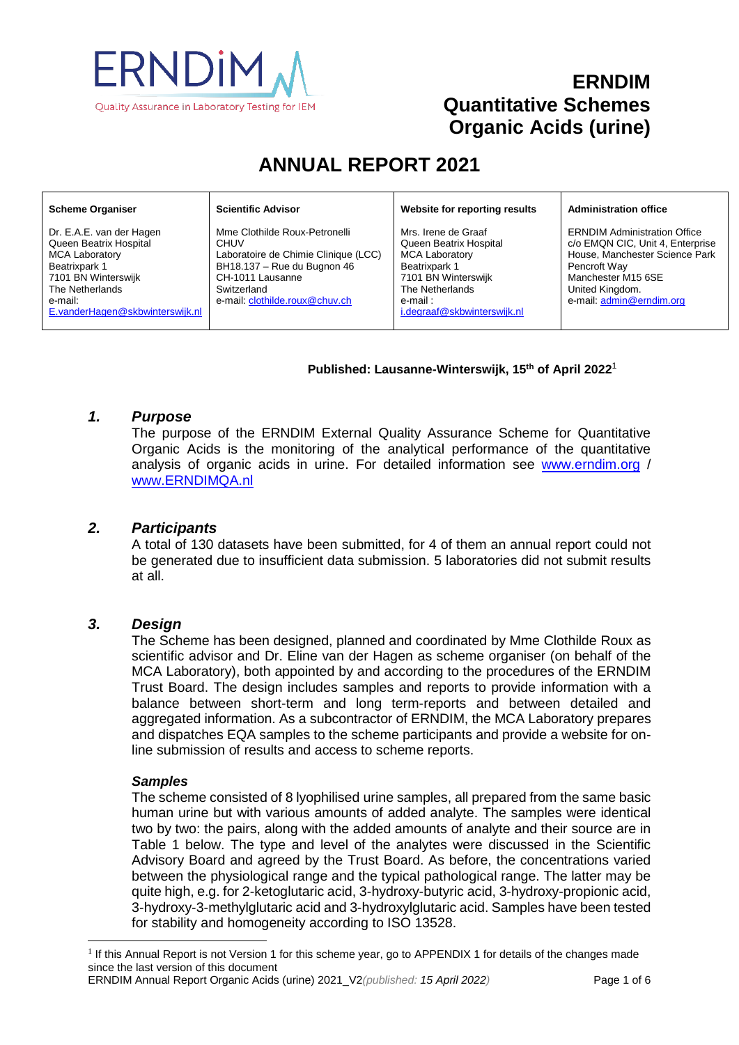

## **ERNDIM Quantitative Schemes Organic Acids (urine)**

# **ANNUAL REPORT 2021**

#### **Scheme Organiser**

Dr. E.A.E. van der Hagen Queen Beatrix Hospital MCA Laboratory Beatrixpark 1 7101 BN Winterswijk The Netherlands e-mail: [E.vanderHagen@skbwinterswijk.nl](mailto:E.vanderHagen@skbwinterswijk.nl) **Scientific Advisor**

Mme Clothilde Roux-Petronelli **CHUV** Laboratoire de Chimie Clinique (LCC) BH18.137 – Rue du Bugnon 46 CH-1011 Lausanne Switzerland e-mail[: clothilde.roux@chuv.ch](mailto:clothilde.roux@chuv.ch)

**Website for reporting results**

Mrs. Irene de Graaf Queen Beatrix Hospital MCA Laboratory Beatrixpark 1 7101 BN Winterswijk The Netherlands e-mail : i.degraaf@skbwinterswiik.nl **Administration office**

ERNDIM Administration Office c/o EMQN CIC, Unit 4, Enterprise House, Manchester Science Park Pencroft Way Manchester M15 6SE United Kingdom. e-mail: [admin@erndim.org](mailto:admin@erndim.org)

#### **Published: Lausanne-Winterswijk, 15th of April 2022**<sup>1</sup>

#### *1. Purpose*

The purpose of the ERNDIM External Quality Assurance Scheme for Quantitative Organic Acids is the monitoring of the analytical performance of the quantitative analysis of organic acids in urine. For detailed information see [www.erndim.o](http://www.erndim.unibas.ch/)rg / [www.ERNDIMQA.nl](http://www.erndimqa.nl/)

#### *2. Participants*

A total of 130 datasets have been submitted, for 4 of them an annual report could not be generated due to insufficient data submission. 5 laboratories did not submit results at all.

#### *3. Design*

The Scheme has been designed, planned and coordinated by Mme Clothilde Roux as scientific advisor and Dr. Eline van der Hagen as scheme organiser (on behalf of the MCA Laboratory), both appointed by and according to the procedures of the ERNDIM Trust Board. The design includes samples and reports to provide information with a balance between short-term and long term-reports and between detailed and aggregated information. As a subcontractor of ERNDIM, the MCA Laboratory prepares and dispatches EQA samples to the scheme participants and provide a website for online submission of results and access to scheme reports.

#### *Samples*

l

The scheme consisted of 8 lyophilised urine samples, all prepared from the same basic human urine but with various amounts of added analyte. The samples were identical two by two: the pairs, along with the added amounts of analyte and their source are in Table 1 below. The type and level of the analytes were discussed in the Scientific Advisory Board and agreed by the Trust Board. As before, the concentrations varied between the physiological range and the typical pathological range. The latter may be quite high, e.g. for 2-ketoglutaric acid, 3-hydroxy-butyric acid, 3-hydroxy-propionic acid, 3-hydroxy-3-methylglutaric acid and 3-hydroxylglutaric acid. Samples have been tested for stability and homogeneity according to ISO 13528.

<sup>&</sup>lt;sup>1</sup> If this Annual Report is not Version 1 for this scheme year, go to [APPENDIX 1](#page-5-0) for details of the changes made since the last version of this document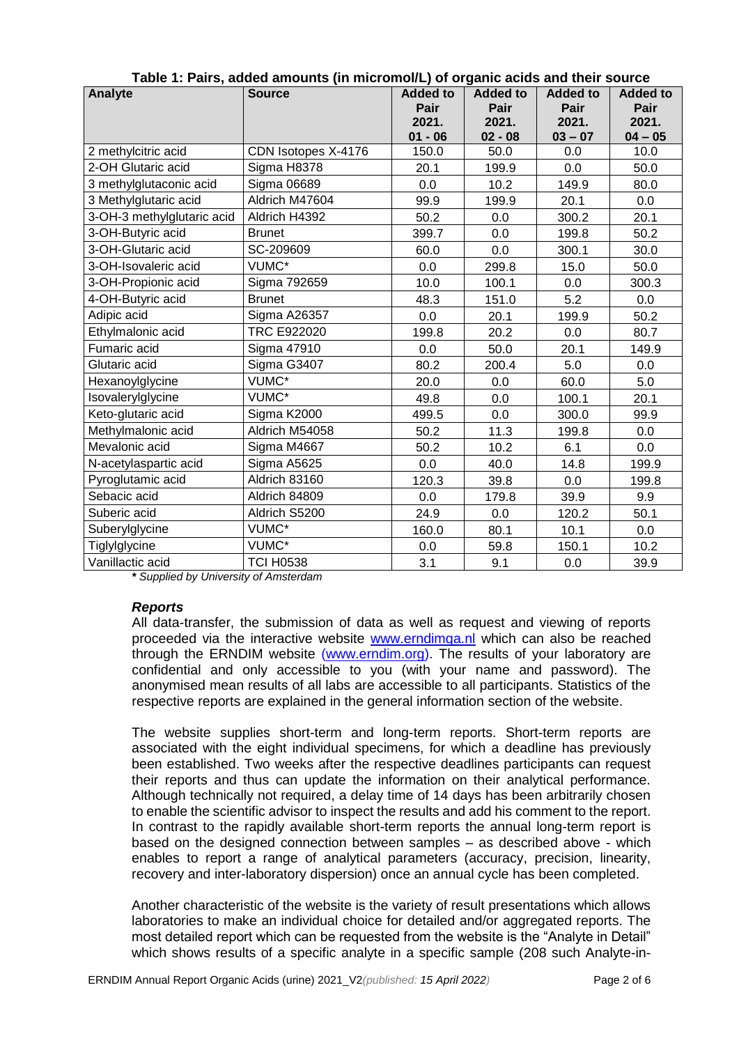| ו מסיכ דר מורס, מטטט מוווסטוונס (ווי ווווטרטווסורב) טרטו שטומט מוטר מוטור סטטרטט |                     |                 |                 |                 |                 |
|----------------------------------------------------------------------------------|---------------------|-----------------|-----------------|-----------------|-----------------|
| Analyte                                                                          | <b>Source</b>       | <b>Added to</b> | <b>Added to</b> | <b>Added to</b> | <b>Added to</b> |
|                                                                                  |                     | Pair            | Pair            | Pair            | Pair            |
|                                                                                  |                     | 2021.           | 2021.           | 2021.           | 2021.           |
|                                                                                  |                     | $01 - 06$       | $02 - 08$       | $03 - 07$       | $04 - 05$       |
| 2 methylcitric acid                                                              | CDN Isotopes X-4176 | 150.0           | 50.0            | 0.0             | 10.0            |
| 2-OH Glutaric acid                                                               | Sigma H8378         | 20.1            | 199.9           | 0.0             | 50.0            |
| 3 methylglutaconic acid                                                          | <b>Sigma 06689</b>  | 0.0             | 10.2            | 149.9           | 80.0            |
| 3 Methylglutaric acid                                                            | Aldrich M47604      | 99.9            | 199.9           | 20.1            | 0.0             |
| 3-OH-3 methylglutaric acid                                                       | Aldrich H4392       | 50.2            | 0.0             | 300.2           | 20.1            |
| 3-OH-Butyric acid                                                                | <b>Brunet</b>       | 399.7           |                 | 199.8           | 50.2            |
| 3-OH-Glutaric acid                                                               | SC-209609           | 60.0            | 0.0             | 300.1           | 30.0            |
| 3-OH-Isovaleric acid                                                             | VUMC*               | 0.0             | 299.8           | 15.0            | 50.0            |
| 3-OH-Propionic acid                                                              | Sigma 792659        | 10.0            | 100.1           | 0.0             | 300.3           |
| 4-OH-Butyric acid                                                                | <b>Brunet</b>       | 48.3            | 151.0           | 5.2             | 0.0             |
| Adipic acid                                                                      | <b>Sigma A26357</b> | 0.0             | 20.1            | 199.9           | 50.2            |
| Ethylmalonic acid                                                                | <b>TRC E922020</b>  | 199.8           | 20.2            | 0.0             | 80.7            |
| Fumaric acid                                                                     | Sigma 47910         | 0.0             | 50.0            | 20.1            | 149.9           |
| Glutaric acid                                                                    | Sigma G3407         | 80.2            | 200.4           | 5.0             | 0.0             |
| Hexanoylglycine                                                                  | VUMC*               | 20.0            | 0.0             | 60.0            | 5.0             |
| Isovalerylglycine                                                                | VUMC*               | 49.8            | 0.0             | 100.1           | 20.1            |
| Sigma K2000<br>Keto-glutaric acid                                                |                     | 499.5           | 0.0             | 300.0           | 99.9            |
| Methylmalonic acid                                                               | Aldrich M54058      | 50.2            | 11.3            | 199.8           | 0.0             |
| Mevalonic acid                                                                   | Sigma M4667         | 50.2            | 10.2            | 6.1             | 0.0             |
| N-acetylaspartic acid                                                            | Sigma A5625         | 0.0             | 40.0            | 14.8            | 199.9           |
| Pyroglutamic acid                                                                | Aldrich 83160       | 120.3           | 39.8            | 0.0             | 199.8           |
| Sebacic acid                                                                     | Aldrich 84809       | 0.0             | 179.8           | 39.9            | 9.9             |
| Suberic acid                                                                     | Aldrich S5200       | 24.9            | 0.0             | 120.2           | 50.1            |
| Suberylglycine                                                                   | VUMC*               | 160.0           | 80.1            | 10.1            | 0.0             |
| Tiglylglycine                                                                    | VUMC*               | 0.0             | 59.8            | 150.1           | 10.2            |
| Vanillactic acid                                                                 | <b>TCI H0538</b>    | 3.1             | 9.1             | $0.0\,$         | 39.9            |

|  |  | Table 1: Pairs, added amounts (in micromol/L) of organic acids and their source |
|--|--|---------------------------------------------------------------------------------|
|  |  |                                                                                 |

*\* Supplied by University of Amsterdam*

#### *Reports*

All data-transfer, the submission of data as well as request and viewing of reports proceeded via the interactive website [www.erndimqa.nl](http://www.erndimqa.nl/) which can also be reached through the ERNDIM website [\(www.erndim.org\)](http://www.erndim.org/). The results of your laboratory are confidential and only accessible to you (with your name and password). The anonymised mean results of all labs are accessible to all participants. Statistics of the respective reports are explained in the general information section of the website.

The website supplies short-term and long-term reports. Short-term reports are associated with the eight individual specimens, for which a deadline has previously been established. Two weeks after the respective deadlines participants can request their reports and thus can update the information on their analytical performance. Although technically not required, a delay time of 14 days has been arbitrarily chosen to enable the scientific advisor to inspect the results and add his comment to the report. In contrast to the rapidly available short-term reports the annual long-term report is based on the designed connection between samples – as described above - which enables to report a range of analytical parameters (accuracy, precision, linearity, recovery and inter-laboratory dispersion) once an annual cycle has been completed.

Another characteristic of the website is the variety of result presentations which allows laboratories to make an individual choice for detailed and/or aggregated reports. The most detailed report which can be requested from the website is the "Analyte in Detail" which shows results of a specific analyte in a specific sample (208 such Analyte-in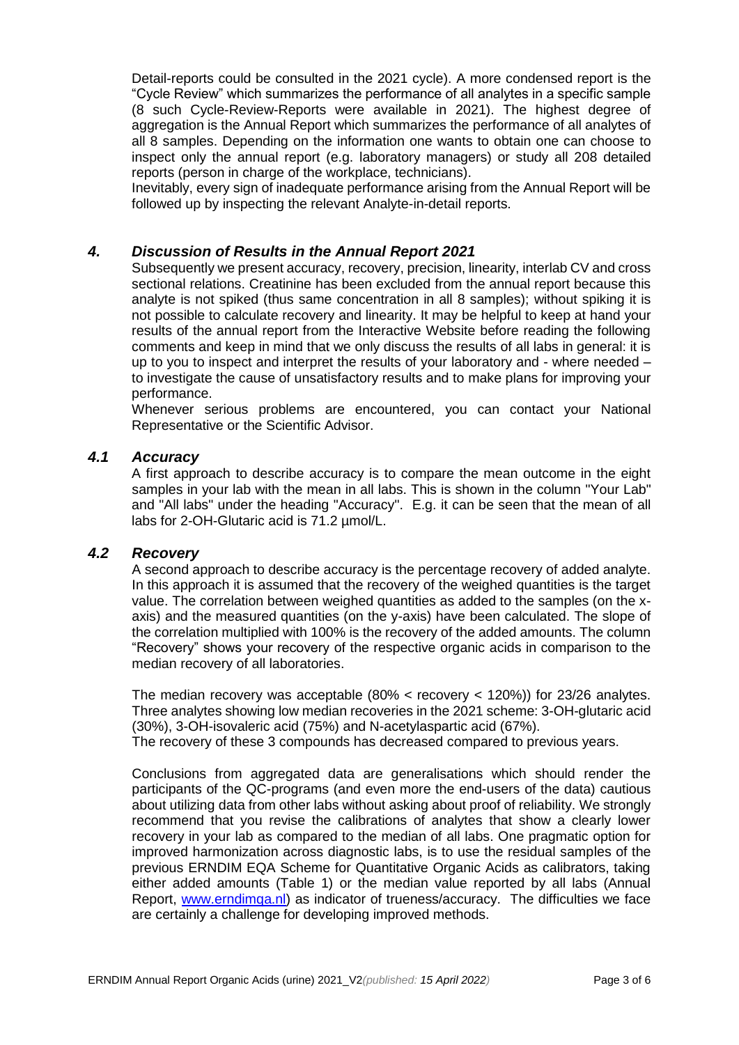Detail-reports could be consulted in the 2021 cycle). A more condensed report is the "Cycle Review" which summarizes the performance of all analytes in a specific sample (8 such Cycle-Review-Reports were available in 2021). The highest degree of aggregation is the Annual Report which summarizes the performance of all analytes of all 8 samples. Depending on the information one wants to obtain one can choose to inspect only the annual report (e.g. laboratory managers) or study all 208 detailed reports (person in charge of the workplace, technicians).

Inevitably, every sign of inadequate performance arising from the Annual Report will be followed up by inspecting the relevant Analyte-in-detail reports.

#### *4. Discussion of Results in the Annual Report 2021*

Subsequently we present accuracy, recovery, precision, linearity, interlab CV and cross sectional relations. Creatinine has been excluded from the annual report because this analyte is not spiked (thus same concentration in all 8 samples); without spiking it is not possible to calculate recovery and linearity. It may be helpful to keep at hand your results of the annual report from the Interactive Website before reading the following comments and keep in mind that we only discuss the results of all labs in general: it is up to you to inspect and interpret the results of your laboratory and - where needed – to investigate the cause of unsatisfactory results and to make plans for improving your performance.

Whenever serious problems are encountered, you can contact your National Representative or the Scientific Advisor.

#### *4.1 Accuracy*

A first approach to describe accuracy is to compare the mean outcome in the eight samples in your lab with the mean in all labs. This is shown in the column "Your Lab" and "All labs" under the heading "Accuracy". E.g. it can be seen that the mean of all labs for 2-OH-Glutaric acid is 71.2 µmol/L.

#### *4.2 Recovery*

A second approach to describe accuracy is the percentage recovery of added analyte. In this approach it is assumed that the recovery of the weighed quantities is the target value. The correlation between weighed quantities as added to the samples (on the xaxis) and the measured quantities (on the y-axis) have been calculated. The slope of the correlation multiplied with 100% is the recovery of the added amounts. The column "Recovery" shows your recovery of the respective organic acids in comparison to the median recovery of all laboratories.

The median recovery was acceptable  $(80\% \times \text{recovery} \lt 120\%)$  for 23/26 analytes. Three analytes showing low median recoveries in the 2021 scheme: 3-OH-glutaric acid (30%), 3-OH-isovaleric acid (75%) and N-acetylaspartic acid (67%). The recovery of these 3 compounds has decreased compared to previous years.

Conclusions from aggregated data are generalisations which should render the participants of the QC-programs (and even more the end-users of the data) cautious about utilizing data from other labs without asking about proof of reliability. We strongly recommend that you revise the calibrations of analytes that show a clearly lower recovery in your lab as compared to the median of all labs. One pragmatic option for improved harmonization across diagnostic labs, is to use the residual samples of the previous ERNDIM EQA Scheme for Quantitative Organic Acids as calibrators, taking either added amounts (Table 1) or the median value reported by all labs (Annual Report, [www.erndimqa.nl\)](http://www.erndimqa.nl/) as indicator of trueness/accuracy. The difficulties we face are certainly a challenge for developing improved methods.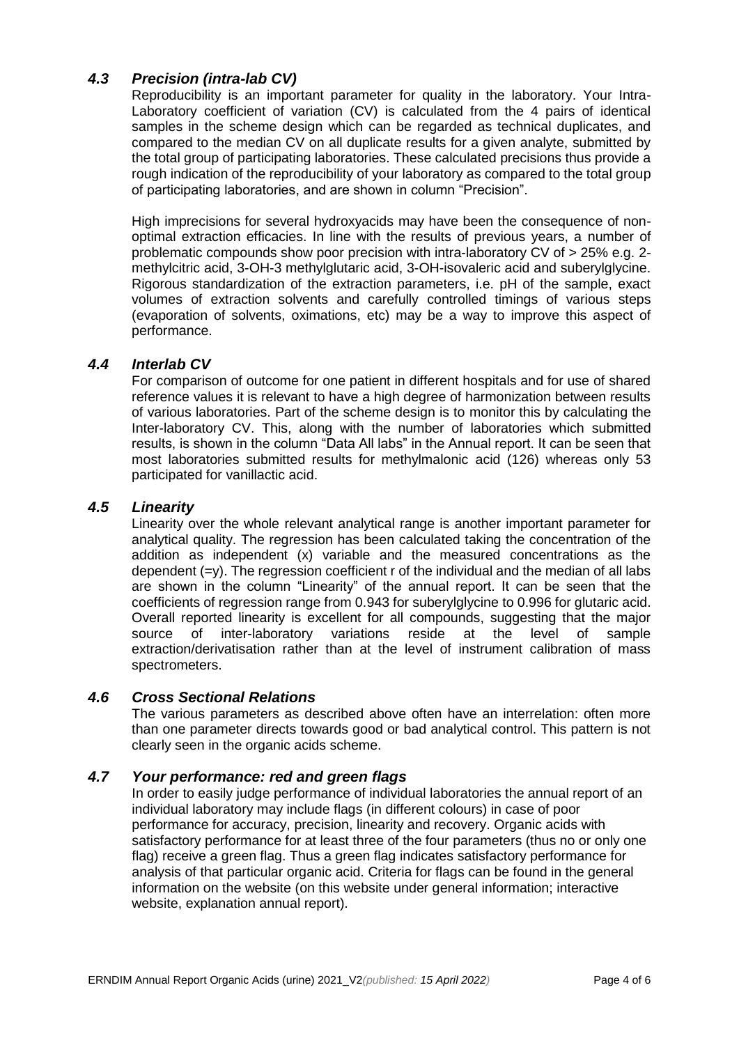## *4.3 Precision (intra-lab CV)*

Reproducibility is an important parameter for quality in the laboratory. Your Intra-Laboratory coefficient of variation (CV) is calculated from the 4 pairs of identical samples in the scheme design which can be regarded as technical duplicates, and compared to the median CV on all duplicate results for a given analyte, submitted by the total group of participating laboratories. These calculated precisions thus provide a rough indication of the reproducibility of your laboratory as compared to the total group of participating laboratories, and are shown in column "Precision".

High imprecisions for several hydroxyacids may have been the consequence of nonoptimal extraction efficacies. In line with the results of previous years, a number of problematic compounds show poor precision with intra-laboratory CV of > 25% e.g. 2 methylcitric acid, 3-OH-3 methylglutaric acid, 3-OH-isovaleric acid and suberylglycine. Rigorous standardization of the extraction parameters, i.e. pH of the sample, exact volumes of extraction solvents and carefully controlled timings of various steps (evaporation of solvents, oximations, etc) may be a way to improve this aspect of performance.

#### *4.4 Interlab CV*

For comparison of outcome for one patient in different hospitals and for use of shared reference values it is relevant to have a high degree of harmonization between results of various laboratories. Part of the scheme design is to monitor this by calculating the Inter-laboratory CV. This, along with the number of laboratories which submitted results, is shown in the column "Data All labs" in the Annual report. It can be seen that most laboratories submitted results for methylmalonic acid (126) whereas only 53 participated for vanillactic acid.

#### *4.5 Linearity*

Linearity over the whole relevant analytical range is another important parameter for analytical quality. The regression has been calculated taking the concentration of the addition as independent (x) variable and the measured concentrations as the dependent  $(=v)$ . The regression coefficient r of the individual and the median of all labs are shown in the column "Linearity" of the annual report. It can be seen that the coefficients of regression range from 0.943 for suberylglycine to 0.996 for glutaric acid. Overall reported linearity is excellent for all compounds, suggesting that the major source of inter-laboratory variations reside at the level of sample extraction/derivatisation rather than at the level of instrument calibration of mass spectrometers.

#### *4.6 Cross Sectional Relations*

The various parameters as described above often have an interrelation: often more than one parameter directs towards good or bad analytical control. This pattern is not clearly seen in the organic acids scheme.

### *4.7 Your performance: red and green flags*

In order to easily judge performance of individual laboratories the annual report of an individual laboratory may include flags (in different colours) in case of poor performance for accuracy, precision, linearity and recovery. Organic acids with satisfactory performance for at least three of the four parameters (thus no or only one flag) receive a green flag. Thus a green flag indicates satisfactory performance for analysis of that particular organic acid. Criteria for flags can be found in the general information on the website (on this website under general information; interactive website, explanation annual report).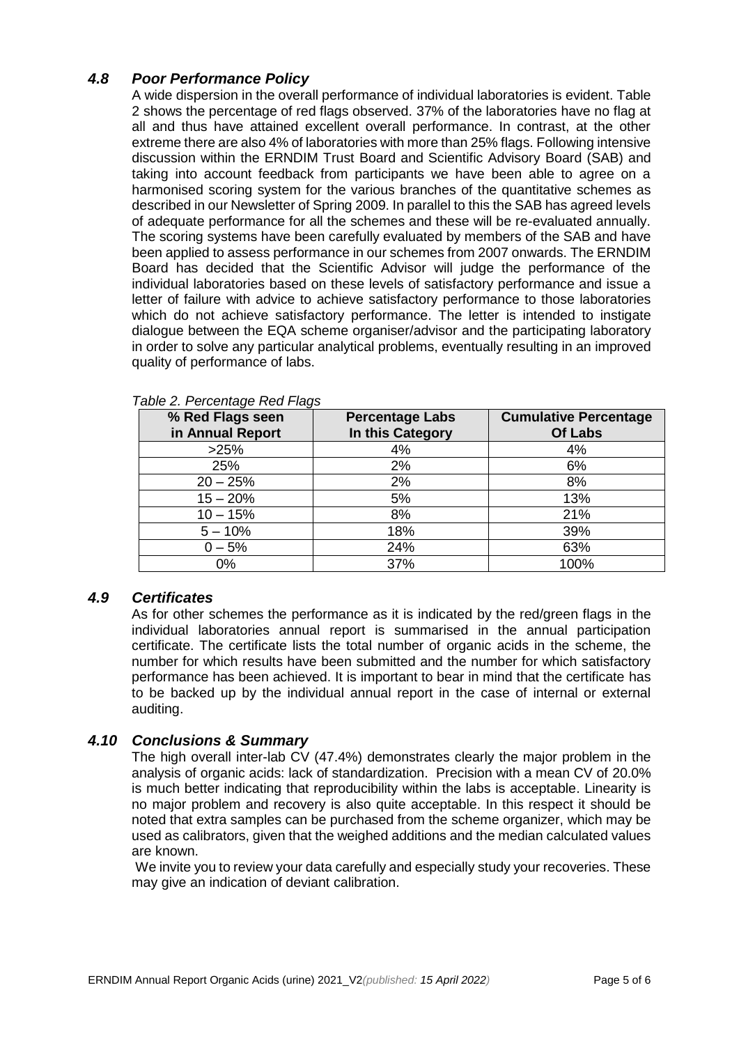## *4.8 Poor Performance Policy*

A wide dispersion in the overall performance of individual laboratories is evident. Table 2 shows the percentage of red flags observed. 37% of the laboratories have no flag at all and thus have attained excellent overall performance. In contrast, at the other extreme there are also 4% of laboratories with more than 25% flags. Following intensive discussion within the ERNDIM Trust Board and Scientific Advisory Board (SAB) and taking into account feedback from participants we have been able to agree on a harmonised scoring system for the various branches of the quantitative schemes as described in our Newsletter of Spring 2009. In parallel to this the SAB has agreed levels of adequate performance for all the schemes and these will be re-evaluated annually. The scoring systems have been carefully evaluated by members of the SAB and have been applied to assess performance in our schemes from 2007 onwards. The ERNDIM Board has decided that the Scientific Advisor will judge the performance of the individual laboratories based on these levels of satisfactory performance and issue a letter of failure with advice to achieve satisfactory performance to those laboratories which do not achieve satisfactory performance. The letter is intended to instigate dialogue between the EQA scheme organiser/advisor and the participating laboratory in order to solve any particular analytical problems, eventually resulting in an improved quality of performance of labs.

| % Red Flags seen | <b>Percentage Labs</b> | <b>Cumulative Percentage</b> |  |
|------------------|------------------------|------------------------------|--|
| in Annual Report | In this Category       | <b>Of Labs</b>               |  |
| >25%             | 4%                     | 4%                           |  |
| 25%              | 2%                     | 6%                           |  |
| $20 - 25%$       | 2%                     | 8%                           |  |
| $15 - 20%$       | 5%                     | 13%                          |  |
| $10 - 15%$       | 8%                     | 21%                          |  |
| $5 - 10%$        | 18%                    | 39%                          |  |
| $0 - 5%$         | 24%                    | 63%                          |  |
| $0\%$            | 37%                    | 100%                         |  |

*Table 2. Percentage Red Flags*

#### *4.9 Certificates*

As for other schemes the performance as it is indicated by the red/green flags in the individual laboratories annual report is summarised in the annual participation certificate. The certificate lists the total number of organic acids in the scheme, the number for which results have been submitted and the number for which satisfactory performance has been achieved. It is important to bear in mind that the certificate has to be backed up by the individual annual report in the case of internal or external auditing.

#### *4.10 Conclusions & Summary*

The high overall inter-lab CV (47.4%) demonstrates clearly the major problem in the analysis of organic acids: lack of standardization. Precision with a mean CV of 20.0% is much better indicating that reproducibility within the labs is acceptable. Linearity is no major problem and recovery is also quite acceptable. In this respect it should be noted that extra samples can be purchased from the scheme organizer, which may be used as calibrators, given that the weighed additions and the median calculated values are known.

We invite you to review your data carefully and especially study your recoveries. These may give an indication of deviant calibration.